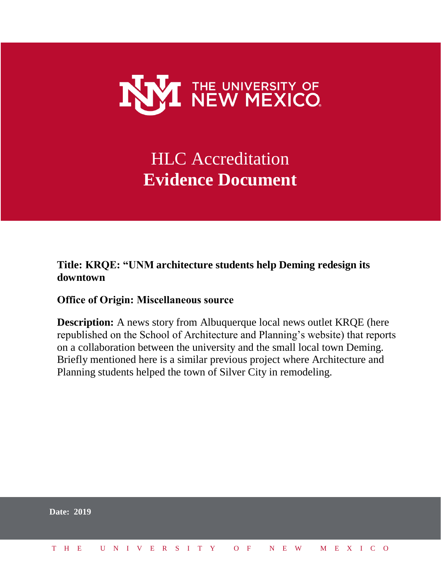

# HLC Accreditation **Evidence Document**

## **Title: KRQE: "UNM architecture students help Deming redesign its downtown**

## **Office of Origin: Miscellaneous source**

**Description:** A news story from Albuquerque local news outlet KRQE (here republished on the School of Architecture and Planning's website) that reports on a collaboration between the university and the small local town Deming. Briefly mentioned here is a similar previous project where Architecture and Planning students helped the town of Silver City in remodeling.

|  | <b>Date: 2019</b>            |  |  |  |  |  |  |  |  |  |  |  |  |  |
|--|------------------------------|--|--|--|--|--|--|--|--|--|--|--|--|--|
|  | THE UNIVERSITY OF NEW MEXICO |  |  |  |  |  |  |  |  |  |  |  |  |  |